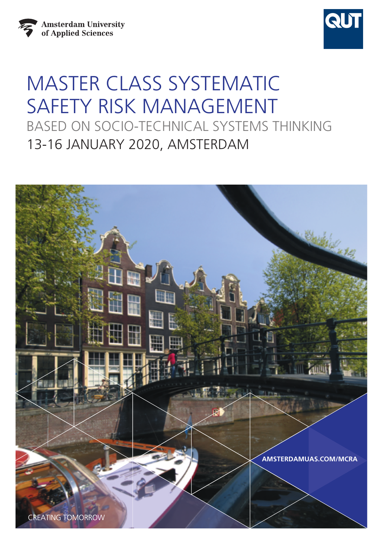



# MASTER CLASS SYSTEMATIC SAFETY RISK MANAGEMENT BASED ON SOCIO-TECHNICAL SYSTEMS THINKING 13-16 JANUARY 2020, AMSTERDAM

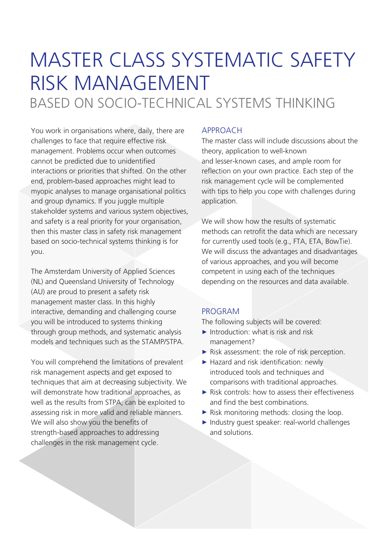## MASTER CLASS SYSTEMATIC SAFETY RISK MANAGEMENT BASED ON SOCIO-TECHNICAL SYSTEMS THINKING

You work in organisations where, daily, there are challenges to face that require effective risk management. Problems occur when outcomes cannot be predicted due to unidentified interactions or priorities that shifted. On the other end, problem-based approaches might lead to myopic analyses to manage organisational politics and group dynamics. If you juggle multiple stakeholder systems and various system objectives, and safety is a real priority for your organisation, then this master class in safety risk management based on socio-technical systems thinking is for you.

The Amsterdam University of Applied Sciences (NL) and Queensland University of Technology (AU) are proud to present a safety risk management master class. In this highly interactive, demanding and challenging course you will be introduced to systems thinking through group methods, and systematic analysis models and techniques such as the STAMP/STPA.

You will comprehend the limitations of prevalent risk management aspects and get exposed to techniques that aim at decreasing subjectivity. We will demonstrate how traditional approaches, as well as the results from STPA, can be exploited to assessing risk in more valid and reliable manners. We will also show you the benefits of strength-based approaches to addressing challenges in the risk management cycle.

#### APPROACH

The master class will include discussions about the theory, application to well-known and lesser-known cases, and ample room for reflection on your own practice. Each step of the risk management cycle will be complemented with tips to help you cope with challenges during application.

We will show how the results of systematic methods can retrofit the data which are necessary for currently used tools (e.g., FTA, ETA, BowTie). We will discuss the advantages and disadvantages of various approaches, and you will become competent in using each of the techniques depending on the resources and data available.

## PROGRAM

The following subjects will be covered:

- $\blacktriangleright$  Introduction: what is risk and risk management?
- ► Risk assessment: the role of risk perception.
- ► Hazard and risk identification: newly introduced tools and techniques and comparisons with traditional approaches.
- ► Risk controls: how to assess their effectiveness and find the best combinations.
- ► Risk monitoring methods: closing the loop.
- ► Industry guest speaker: real-world challenges and solutions.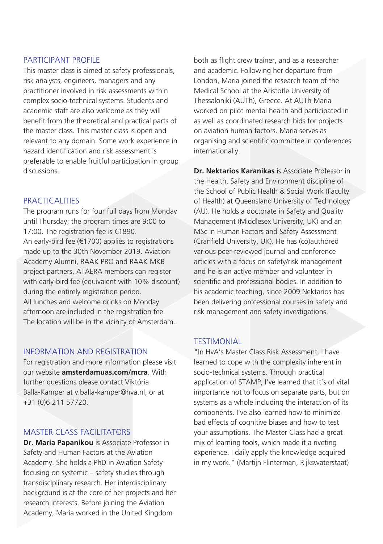#### PARTICIPANT PROFILE

This master class is aimed at safety professionals, risk analysts, engineers, managers and any practitioner involved in risk assessments within complex socio-technical systems. Students and academic staff are also welcome as they will benefit from the theoretical and practical parts of the master class. This master class is open and relevant to any domain. Some work experience in hazard identification and risk assessment is preferable to enable fruitful participation in group discussions.

#### **PRACTICALITIES**

The program runs for four full days from Monday until Thursday; the program times are 9:00 to 17:00. The registration fee is €1890. An early-bird fee (€1700) applies to registrations made up to the 30th November 2019. Aviation Academy Alumni, RAAK PRO and RAAK MKB project partners, ATAERA members can register with early-bird fee (equivalent with 10% discount) during the entirely registration period. All lunches and welcome drinks on Monday afternoon are included in the registration fee. The location will be in the vicinity of Amsterdam.

#### INFORMATION AND REGISTRATION

For registration and more information please visit our website **[amsterdamuas.com/mcra](http://www.amsterdamuas.com/mcra)**. With further questions please contact Viktória Balla-Kamper at v.balla-kamper@hva.nl, or at +31 (0)6 211 57720.

## MASTER CLASS FACILITATORS

**Dr. Maria Papanikou** is Associate Professor in Safety and Human Factors at the Aviation Academy. She holds a PhD in Aviation Safety focusing on systemic – safety studies through transdisciplinary research. Her interdisciplinary background is at the core of her projects and her research interests. Before joining the Aviation Academy, Maria worked in the United Kingdom

both as flight crew trainer, and as a researcher and academic. Following her departure from London, Maria joined the research team of the Medical School at the Aristotle University of Thessaloniki (AUTh), Greece. At AUTh Maria worked on pilot mental health and participated in as well as coordinated research bids for projects on aviation human factors. Maria serves as organising and scientific committee in conferences internationally.

**Dr. Nektarios Karanikas** is Associate Professor in the Health, Safety and Environment discipline of the School of Public Health & Social Work (Faculty of Health) at Queensland University of Technology (AU). He holds a doctorate in Safety and Quality Management (Middlesex University, UK) and an MSc in Human Factors and Safety Assessment (Cranfield University, UK). He has (co)authored various peer-reviewed journal and conference articles with a focus on safety/risk management and he is an active member and volunteer in scientific and professional bodies. In addition to his academic teaching, since 2009 Nektarios has been delivering professional courses in safety and risk management and safety investigations.

#### **TESTIMONIAL**

"In HvA's Master Class Risk Assessment, I have learned to cope with the complexity inherent in socio-technical systems. Through practical application of STAMP, I've learned that it's of vital importance not to focus on separate parts, but on systems as a whole including the interaction of its components. I've also learned how to minimize bad effects of cognitive biases and how to test your assumptions. The Master Class had a great mix of learning tools, which made it a riveting experience. I daily apply the knowledge acquired in my work." (Martijn Flinterman, Rijkswaterstaat)